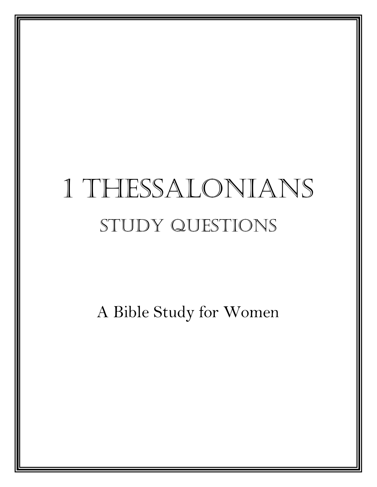# 1 Thessalonians Study Questions

A Bible Study for Women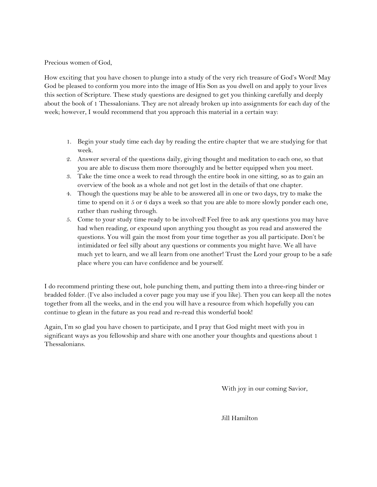Precious women of God,

How exciting that you have chosen to plunge into a study of the very rich treasure of God's Word! May God be pleased to conform you more into the image of His Son as you dwell on and apply to your lives this section of Scripture. These study questions are designed to get you thinking carefully and deeply about the book of 1 Thessalonians. They are not already broken up into assignments for each day of the week; however, I would recommend that you approach this material in a certain way:

- 1. Begin your study time each day by reading the entire chapter that we are studying for that week.
- 2. Answer several of the questions daily, giving thought and meditation to each one, so that you are able to discuss them more thoroughly and be better equipped when you meet.
- 3. Take the time once a week to read through the entire book in one sitting, so as to gain an overview of the book as a whole and not get lost in the details of that one chapter.
- 4. Though the questions may be able to be answered all in one or two days, try to make the time to spend on it 5 or 6 days a week so that you are able to more slowly ponder each one, rather than rushing through.
- 5. Come to your study time ready to be involved! Feel free to ask any questions you may have had when reading, or expound upon anything you thought as you read and answered the questions. You will gain the most from your time together as you all participate. Don't be intimidated or feel silly about any questions or comments you might have. We all have much yet to learn, and we all learn from one another! Trust the Lord your group to be a safe place where you can have confidence and be yourself.

I do recommend printing these out, hole punching them, and putting them into a three-ring binder or bradded folder. (I've also included a cover page you may use if you like). Then you can keep all the notes together from all the weeks, and in the end you will have a resource from which hopefully you can continue to glean in the future as you read and re-read this wonderful book!

Again, I'm so glad you have chosen to participate, and I pray that God might meet with you in significant ways as you fellowship and share with one another your thoughts and questions about 1 Thessalonians.

With joy in our coming Savior,

Jill Hamilton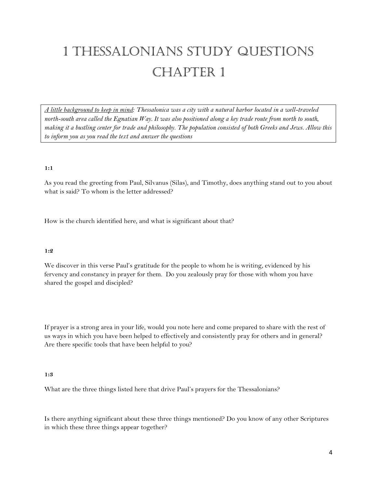# 1 Thessalonians Study Questions CHAPTER 1

*A little background to keep in mind: Thessalonica was a city with a natural harbor located in a well-traveled north-south area called the Egnatian Way. It was also positioned along a key trade route from north to south, making it a bustling center for trade and philosophy. The population consisted of both Greeks and Jews. Allow this to inform you as you read the text and answer the questions*

#### **1:1**

As you read the greeting from Paul, Silvanus (Silas), and Timothy, does anything stand out to you about what is said? To whom is the letter addressed?

How is the church identified here, and what is significant about that?

#### **1:2**

We discover in this verse Paul's gratitude for the people to whom he is writing, evidenced by his fervency and constancy in prayer for them. Do you zealously pray for those with whom you have shared the gospel and discipled?

If prayer is a strong area in your life, would you note here and come prepared to share with the rest of us ways in which you have been helped to effectively and consistently pray for others and in general? Are there specific tools that have been helpful to you?

#### **1:3**

What are the three things listed here that drive Paul's prayers for the Thessalonians?

Is there anything significant about these three things mentioned? Do you know of any other Scriptures in which these three things appear together?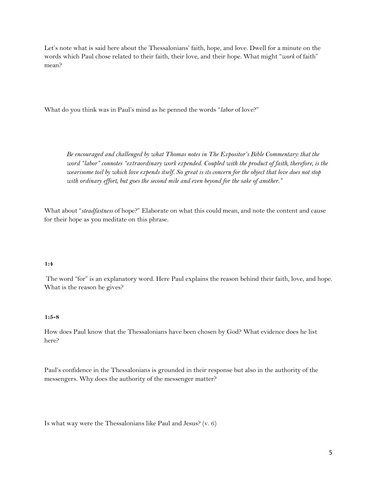Let's note what is said here about the Thessalonians' faith, hope, and love. Dwell for a minute on the words which Paul chose related to their faith, their love, and their hope. What might "*work* of faith" mean?

What do you think was in Paul's mind as he penned the words "*labor* of love?"

*Be encouraged and challenged by what Thomas notes in The Expositor's Bible Commentary: that the word "labor" connotes "extraordinary work expended. Coupled with the product of faith, therefore, is the wearisome toil by which love expends itself. So great is its concern for the object that love does not stop with ordinary effort, but goes the second mile and even beyond for the sake of another."*

What about "*steadfastness* of hope?" Elaborate on what this could mean, and note the content and cause for their hope as you meditate on this phrase.

#### **1:4**

The word "for" is an explanatory word. Here Paul explains the reason behind their faith, love, and hope. What is the reason he gives?

#### **1:5-8**

How does Paul know that the Thessalonians have been chosen by God? What evidence does he list here?

Paul's confidence in the Thessalonians is grounded in their response but also in the authority of the messengers. Why does the authority of the messenger matter?

Is what way were the Thessalonians like Paul and Jesus? (v. 6)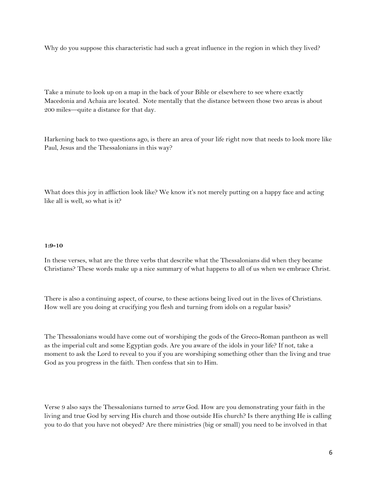Why do you suppose this characteristic had such a great influence in the region in which they lived?

Take a minute to look up on a map in the back of your Bible or elsewhere to see where exactly Macedonia and Achaia are located. Note mentally that the distance between those two areas is about 200 miles—quite a distance for that day.

Harkening back to two questions ago, is there an area of your life right now that needs to look more like Paul, Jesus and the Thessalonians in this way?

What does this joy in affliction look like? We know it's not merely putting on a happy face and acting like all is well, so what is it?

#### **1:9-10**

In these verses, what are the three verbs that describe what the Thessalonians did when they became Christians? These words make up a nice summary of what happens to all of us when we embrace Christ.

There is also a continuing aspect, of course, to these actions being lived out in the lives of Christians. How well are you doing at crucifying you flesh and turning from idols on a regular basis?

The Thessalonians would have come out of worshiping the gods of the Greco-Roman pantheon as well as the imperial cult and some Egyptian gods. Are you aware of the idols in your life? If not, take a moment to ask the Lord to reveal to you if you are worshiping something other than the living and true God as you progress in the faith. Then confess that sin to Him.

Verse 9 also says the Thessalonians turned to *serve* God. How are you demonstrating your faith in the living and true God by serving His church and those outside His church? Is there anything He is calling you to do that you have not obeyed? Are there ministries (big or small) you need to be involved in that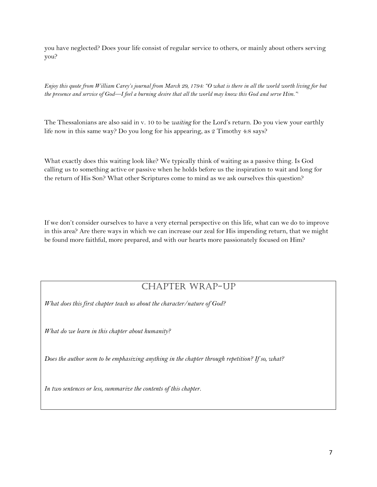you have neglected? Does your life consist of regular service to others, or mainly about others serving you?

*Enjoy this quote from William Carey's journal from March 29, 1794: "O what is there in all the world worth living for but the presence and service of God—I feel a burning desire that all the world may know this God and serve Him."<sup>i</sup>*

The Thessalonians are also said in v. 10 to be *waiting* for the Lord's return. Do you view your earthly life now in this same way? Do you long for his appearing, as 2 Timothy 4:8 says?

What exactly does this waiting look like? We typically think of waiting as a passive thing. Is God calling us to something active or passive when he holds before us the inspiration to wait and long for the return of His Son? What other Scriptures come to mind as we ask ourselves this question?

If we don't consider ourselves to have a very eternal perspective on this life, what can we do to improve in this area? Are there ways in which we can increase our zeal for His impending return, that we might be found more faithful, more prepared, and with our hearts more passionately focused on Him?

### Chapter Wrap-Up

*What does this first chapter teach us about the character/nature of God?*

*What do we learn in this chapter about humanity?*

*Does the author seem to be emphasizing anything in the chapter through repetition? If so, what?*

*In two sentences or less, summarize the contents of this chapter.*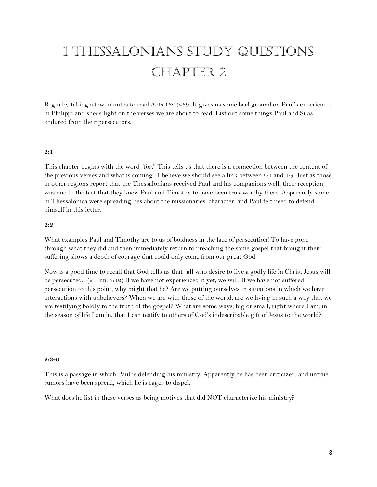# 1 Thessalonians Study Questions CHAPTER 2

Begin by taking a few minutes to read Acts 16:19-39. It gives us some background on Paul's experiences in Philippi and sheds light on the verses we are about to read. List out some things Paul and Silas endured from their persecutors.

#### **2:1**

This chapter begins with the word "for." This tells us that there is a connection between the content of the previous verses and what is coming. I believe we should see a link between 2:1 and 1:9. Just as those in other regions report that the Thessalonians received Paul and his companions well, their reception was due to the fact that they knew Paul and Timothy to have been trustworthy there. Apparently some in Thessalonica were spreading lies about the missionaries' character, and Paul felt need to defend himself in this letter.

#### **2:2**

What examples Paul and Timothy are to us of boldness in the face of persecution! To have gone through what they did and then immediately return to preaching the same gospel that brought their suffering shows a depth of courage that could only come from our great God.

Now is a good time to recall that God tells us that "all who desire to live a godly life in Christ Jesus will be persecuted." (2 Tim. 3:12) If we have not experienced it yet, we will. If we have not suffered persecution to this point, why might that be? Are we putting ourselves in situations in which we have interactions with unbelievers? When we are with those of the world, are we living in such a way that we are testifying boldly to the truth of the gospel? What are some ways, big or small, right where I am, in the season of life I am in, that I can testify to others of God's indescribable gift of Jesus to the world?

#### **2:3-6**

This is a passage in which Paul is defending his ministry. Apparently he has been criticized, and untrue rumors have been spread, which he is eager to dispel.

What does he list in these verses as being motives that did NOT characterize his ministry?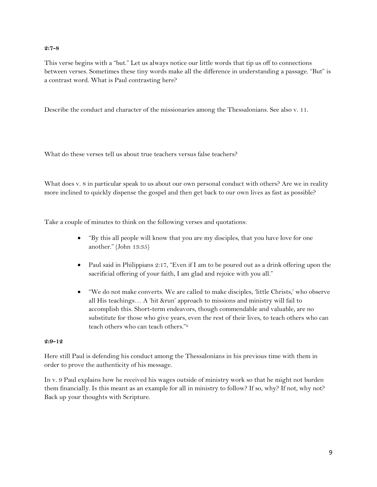#### **2:7-8**

This verse begins with a "but." Let us always notice our little words that tip us off to connections between verses. Sometimes these tiny words make all the difference in understanding a passage. "But" is a contrast word. What is Paul contrasting here?

Describe the conduct and character of the missionaries among the Thessalonians. See also v. 11.

What do these verses tell us about true teachers versus false teachers?

What does v. 8 in particular speak to us about our own personal conduct with others? Are we in reality more inclined to quickly dispense the gospel and then get back to our own lives as fast as possible?

Take a couple of minutes to think on the following verses and quotations:

- "By this all people will know that you are my disciples, that you have love for one another." (John 13:35)
- Paul said in Philippians 2:17, "Even if I am to be poured out as a drink offering upon the sacrificial offering of your faith, I am glad and rejoice with you all."
- "We do not make converts. We are called to make disciples, 'little Christs,' who observe all His teachings… A 'hit &run' approach to missions and ministry will fail to accomplish this. Short-term endeavors, though commendable and valuable, are no substitute for those who give years, even the rest of their lives, to teach others who can teach others who can teach others."ii

#### **2:9-12**

Here still Paul is defending his conduct among the Thessalonians in his previous time with them in order to prove the authenticity of his message.

In v. 9 Paul explains how he received his wages outside of ministry work so that he might not burden them financially. Is this meant as an example for all in ministry to follow? If so, why? If not, why not? Back up your thoughts with Scripture.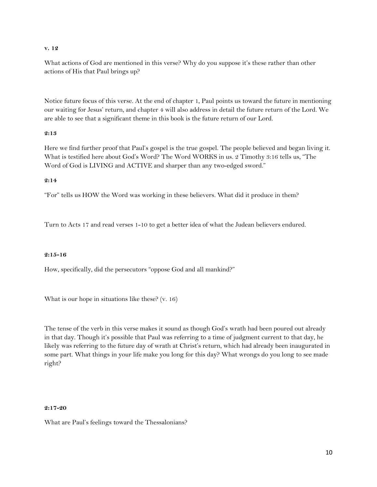#### **v. 12**

What actions of God are mentioned in this verse? Why do you suppose it's these rather than other actions of His that Paul brings up?

Notice future focus of this verse. At the end of chapter 1, Paul points us toward the future in mentioning our waiting for Jesus' return, and chapter 4 will also address in detail the future return of the Lord. We are able to see that a significant theme in this book is the future return of our Lord.

#### **2:13**

Here we find further proof that Paul's gospel is the true gospel. The people believed and began living it. What is testified here about God's Word? The Word WORKS in us. 2 Timothy 3:16 tells us, "The Word of God is LIVING and ACTIVE and sharper than any two-edged sword."

#### **2:14**

"For" tells us HOW the Word was working in these believers. What did it produce in them?

Turn to Acts 17 and read verses 1-10 to get a better idea of what the Judean believers endured.

#### **2:15-16**

How, specifically, did the persecutors "oppose God and all mankind?"

What is our hope in situations like these? (v. 16)

The tense of the verb in this verse makes it sound as though God's wrath had been poured out already in that day. Though it's possible that Paul was referring to a time of judgment current to that day, he likely was referring to the future day of wrath at Christ's return, which had already been inaugurated in some part. What things in your life make you long for this day? What wrongs do you long to see made right?

#### **2:17-20**

What are Paul's feelings toward the Thessalonians?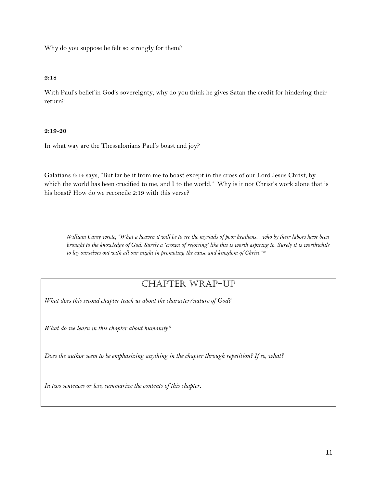Why do you suppose he felt so strongly for them?

#### **2:18**

With Paul's belief in God's sovereignty, why do you think he gives Satan the credit for hindering their return?

#### **2:19-20**

In what way are the Thessalonians Paul's boast and joy?

Galatians 6:14 says, "But far be it from me to boast except in the cross of our Lord Jesus Christ, by which the world has been crucified to me, and I to the world." Why is it not Christ's work alone that is his boast? How do we reconcile 2:19 with this verse?

*William Carey wrote, "What a heaven it will be to see the myriads of poor heathens…who by their labors have been brought to the knowledge of God. Surely a 'crown of rejoicing' like this is worth aspiring to. Surely it is worthwhile to lay ourselves out with all our might in promoting the cause and kingdom of Christ."iii*

### Chapter Wrap-Up

*What does this second chapter teach us about the character/nature of God?*

*What do we learn in this chapter about humanity?*

*Does the author seem to be emphasizing anything in the chapter through repetition? If so, what?*

*In two sentences or less, summarize the contents of this chapter.*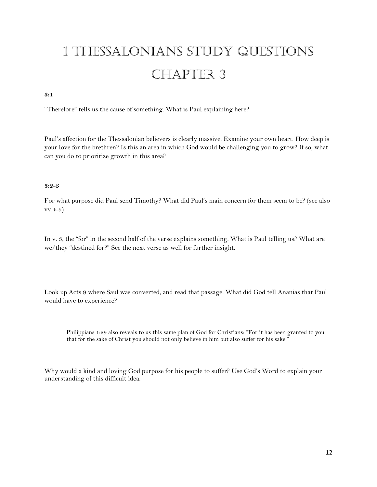# 1 Thessalonians Study Questions CHAPTER 3

#### **3:1**

"Therefore" tells us the cause of something. What is Paul explaining here?

Paul's affection for the Thessalonian believers is clearly massive. Examine your own heart. How deep is your love for the brethren? Is this an area in which God would be challenging you to grow? If so, what can you do to prioritize growth in this area?

#### **3:2-3**

For what purpose did Paul send Timothy? What did Paul's main concern for them seem to be? (see also vv.4-5)

In v. 3, the "for" in the second half of the verse explains something. What is Paul telling us? What are we/they "destined for?" See the next verse as well for further insight.

Look up Acts 9 where Saul was converted, and read that passage. What did God tell Ananias that Paul would have to experience?

Philippians 1:29 also reveals to us this same plan of God for Christians: "For it has been granted to you that for the sake of Christ you should not only believe in him but also suffer for his sake."

Why would a kind and loving God purpose for his people to suffer? Use God's Word to explain your understanding of this difficult idea.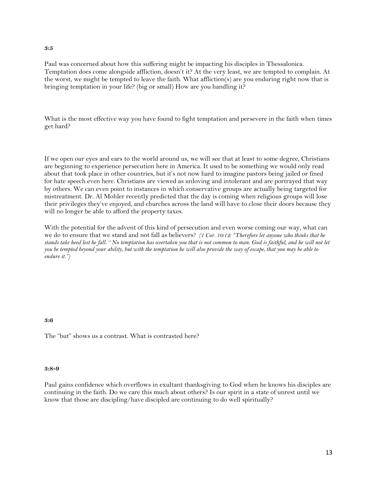#### **3:5**

Paul was concerned about how this suffering might be impacting his disciples in Thessalonica. Temptation does come alongside affliction, doesn't it? At the very least, we are tempted to complain. At the worst, we might be tempted to leave the faith. What affliction(s) are you enduring right now that is bringing temptation in your life? (big or small) How are you handling it?

What is the most effective way you have found to fight temptation and persevere in the faith when times get hard?

If we open our eyes and ears to the world around us, we will see that at least to some degree, Christians are beginning to experience persecution here in America. It used to be something we would only read about that took place in other countries, but it's not now hard to imagine pastors being jailed or fined for hate speech even here. Christians are viewed as unloving and intolerant and are portrayed that way by others. We can even point to instances in which conservative groups are actually being targeted for mistreatment. Dr. Al Mohler recently predicted that the day is coming when religious groups will lose their privileges they've enjoyed, and churches across the land will have to close their doors because they will no longer be able to afford the property taxes.

With the potential for the advent of this kind of persecution and even worse coming our way, what can we do to ensure that we stand and not fall as believers? *(1 Cor. 10:12: "Therefore let anyone who thinks that he stands take heed lest he fall. <sup>13</sup>No temptation has overtaken you that is not common to man. God is faithful, and he will not let you be tempted beyond your ability, but with the temptation he will also provide the way of escape, that you may be able to endure it.")*

#### **3:6**

The "but" shows us a contrast. What is contrasted here?

#### **3:8-9**

Paul gains confidence which overflows in exultant thanksgiving to God when he knows his disciples are continuing in the faith. Do we care this much about others? Is our spirit in a state of unrest until we know that those are discipling/have discipled are continuing to do well spiritually?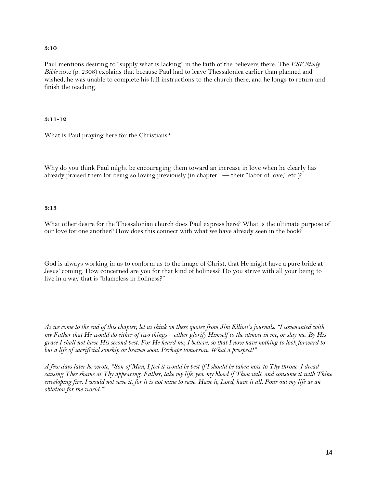#### **3:10**

Paul mentions desiring to "supply what is lacking" in the faith of the believers there. The *ESV Study Bible* note (p. 2308) explains that because Paul had to leave Thessalonica earlier than planned and wished, he was unable to complete his full instructions to the church there, and he longs to return and finish the teaching.

#### **3:11-12**

What is Paul praying here for the Christians?

Why do you think Paul might be encouraging them toward an increase in love when he clearly has already praised them for being so loving previously (in chapter 1— their "labor of love," etc.)?

#### **3:13**

What other desire for the Thessalonian church does Paul express here? What is the ultimate purpose of our love for one another? How does this connect with what we have already seen in the book?

God is always working in us to conform us to the image of Christ, that He might have a pure bride at Jesus' coming. How concerned are you for that kind of holiness? Do you strive with all your being to live in a way that is "blameless in holiness?"

*As we come to the end of this chapter, let us think on these quotes from Jim Elliott's journals: "I covenanted with my Father that He would do either of two things—either glorify Himself to the utmost in me, or slay me. By His grace I shall not have His second best. For He heard me, I believe, so that I now have nothing to look forward to but a life of sacrificial sonship or heaven soon. Perhaps tomorrow. What a prospect!"*

*A few days later he wrote, "Son of Man, I feel it would be best if I should be taken now to Thy throne. I dread causing Thee shame at Thy appearing. Father, take my life, yea, my blood if Thou wilt, and consume it with Thine enveloping fire. I would not save it, for it is not mine to save. Have it, Lord, have it all. Pour out my life as an oblation for the world."iv*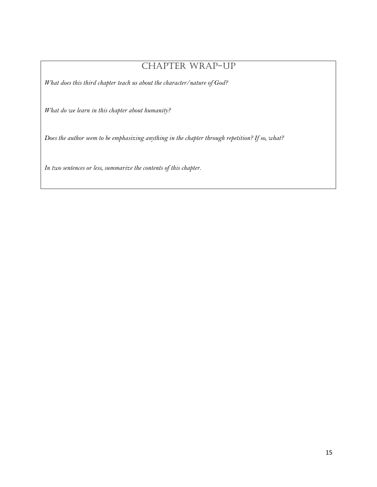### CHAPTER WRAP-UP

*What does this third chapter teach us about the character/nature of God?*

*What do we learn in this chapter about humanity?*

*Does the author seem to be emphasizing anything in the chapter through repetition? If so, what?*

*In two sentences or less, summarize the contents of this chapter.*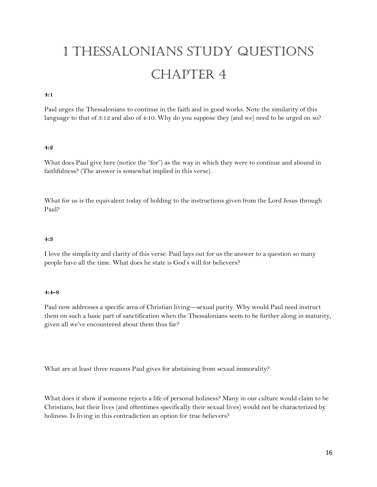# 1 Thessalonians Study Questions CHAPTER 4

#### **4:1**

Paul urges the Thessalonians to continue in the faith and in good works. Note the similarity of this language to that of 3:12 and also of 4:10. Why do you suppose they (and we) need to be urged on so?

#### **4:2**

What does Paul give here (notice the "for") as the way in which they were to continue and abound in faithfulness? (The answer is somewhat implied in this verse).

What for us is the equivalent today of holding to the instructions given from the Lord Jesus through Paul?

#### **4:3**

I love the simplicity and clarity of this verse. Paul lays out for us the answer to a question so many people have all the time. What does he state is God's will for believers?

#### **4:4-8**

Paul now addresses a specific area of Christian living—sexual purity. Why would Paul need instruct them on such a basic part of sanctification when the Thessalonians seem to be further along in maturity, given all we've encountered about them thus far?

What are at least three reasons Paul gives for abstaining from sexual immorality?

What does it show if someone rejects a life of personal holiness? Many in our culture would claim to be Christians, but their lives (and oftentimes specifically their sexual lives) would not be characterized by holiness. Is living in this contradiction an option for true believers?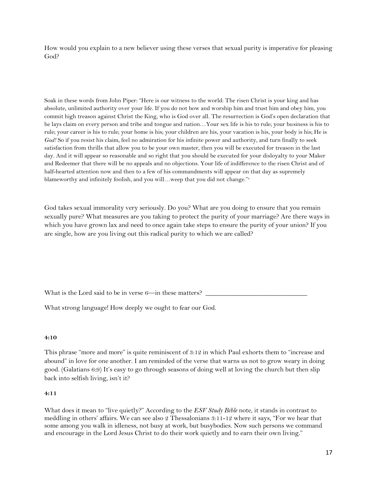How would you explain to a new believer using these verses that sexual purity is imperative for pleasing God?

Soak in these words from John Piper: "Here is our witness to the world: The risen Christ is your king and has absolute, unlimited authority over your life. If you do not bow and worship him and trust him and obey him, you commit high treason against Christ the King, who is God over all. The resurrection is God's open declaration that he lays claim on every person and tribe and tongue and nation…Your sex life is his to rule; your business is his to rule; your career is his to rule; your home is his; your children are his, your vacation is his, your body is his; He is *God!* So if you resist his claim, feel no admiration for his infinite power and authority, and turn finally to seek satisfaction from thrills that allow you to be your own master, then you will be executed for treason in the last day. And it will appear so reasonable and so right that you should be executed for your disloyalty to your Maker and Redeemer that there will be no appeals and no objections. Your life of indifference to the risen Christ and of half-hearted attention now and then to a few of his commandments will appear on that day as supremely blameworthy and infinitely foolish, and you will...weep that you did not change."v

God takes sexual immorality very seriously. Do you? What are you doing to ensure that you remain sexually pure? What measures are you taking to protect the purity of your marriage? Are there ways in which you have grown lax and need to once again take steps to ensure the purity of your union? If you are single, how are you living out this radical purity to which we are called?

What is the Lord said to be in verse  $6$ —in these matters?  $\overline{\phantom{a}}$ 

What strong language! How deeply we ought to fear our God.

#### **4:10**

This phrase "more and more" is quite reminiscent of 3:12 in which Paul exhorts them to "increase and abound" in love for one another. I am reminded of the verse that warns us not to grow weary in doing good. (Galatians 6:9) It's easy to go through seasons of doing well at loving the church but then slip back into selfish living, isn't it?

#### **4:11**

What does it mean to "live quietly?" According to the *ESV Study Bible* note, it stands in contrast to meddling in others' affairs. We can see also 2 Thessalonians 3:11-12 where it says, "For we hear that some among you walk in idleness, not busy at work, but busybodies. Now such persons we command and encourage in the Lord Jesus Christ to do their work quietly and to earn their own living."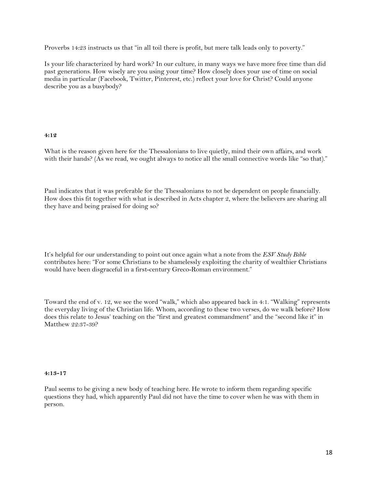Proverbs 14:23 instructs us that "in all toil there is profit, but mere talk leads only to poverty."

Is your life characterized by hard work? In our culture, in many ways we have more free time than did past generations. How wisely are you using your time? How closely does your use of time on social media in particular (Facebook, Twitter, Pinterest, etc.) reflect your love for Christ? Could anyone describe you as a busybody?

#### **4:12**

What is the reason given here for the Thessalonians to live quietly, mind their own affairs, and work with their hands? (As we read, we ought always to notice all the small connective words like "so that)."

Paul indicates that it was preferable for the Thessalonians to not be dependent on people financially. How does this fit together with what is described in Acts chapter 2, where the believers are sharing all they have and being praised for doing so?

It's helpful for our understanding to point out once again what a note from the *ESV Study Bible* contributes here: "For some Christians to be shamelessly exploiting the charity of wealthier Christians would have been disgraceful in a first-century Greco-Roman environment."

Toward the end of v. 12, we see the word "walk," which also appeared back in 4:1. "Walking" represents the everyday living of the Christian life. Whom, according to these two verses, do we walk before? How does this relate to Jesus' teaching on the "first and greatest commandment" and the "second like it" in Matthew 22:37-39?

#### **4:13-17**

Paul seems to be giving a new body of teaching here. He wrote to inform them regarding specific questions they had, which apparently Paul did not have the time to cover when he was with them in person.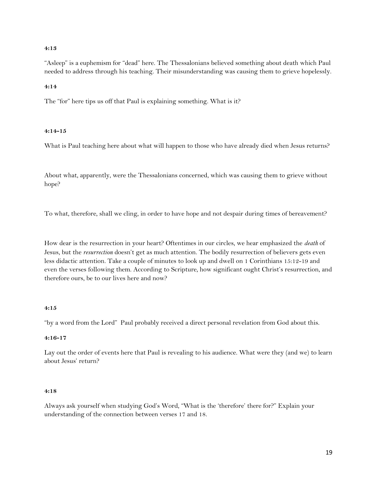#### **4:13**

"Asleep" is a euphemism for "dead" here. The Thessalonians believed something about death which Paul needed to address through his teaching. Their misunderstanding was causing them to grieve hopelessly.

#### **4:14**

The "for" here tips us off that Paul is explaining something. What is it?

#### **4:14-15**

What is Paul teaching here about what will happen to those who have already died when Jesus returns?

About what, apparently, were the Thessalonians concerned, which was causing them to grieve without hope?

To what, therefore, shall we cling, in order to have hope and not despair during times of bereavement?

How dear is the resurrection in your heart? Oftentimes in our circles, we hear emphasized the *death* of Jesus, but the *resurrection* doesn't get as much attention. The bodily resurrection of believers gets even less didactic attention. Take a couple of minutes to look up and dwell on 1 Corinthians 15:12-19 and even the verses following them. According to Scripture, how significant ought Christ's resurrection, and therefore ours, be to our lives here and now?

#### **4:15**

"by a word from the Lord" Paul probably received a direct personal revelation from God about this.

#### **4:16-17**

Lay out the order of events here that Paul is revealing to his audience. What were they (and we) to learn about Jesus' return?

#### **4:18**

Always ask yourself when studying God's Word, "What is the 'therefore' there for?" Explain your understanding of the connection between verses 17 and 18.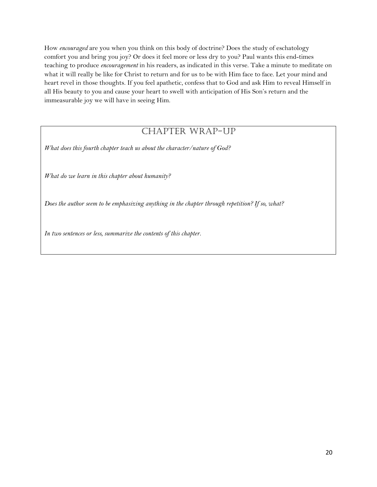How *encouraged* are you when you think on this body of doctrine? Does the study of eschatology comfort you and bring you joy? Or does it feel more or less dry to you? Paul wants this end-times teaching to produce *encouragement* in his readers, as indicated in this verse. Take a minute to meditate on what it will really be like for Christ to return and for us to be with Him face to face. Let your mind and heart revel in those thoughts. If you feel apathetic, confess that to God and ask Him to reveal Himself in all His beauty to you and cause your heart to swell with anticipation of His Son's return and the immeasurable joy we will have in seeing Him.

### CHAPTER WRAP-UP

*What does this fourth chapter teach us about the character/nature of God?*

*What do we learn in this chapter about humanity?*

*Does the author seem to be emphasizing anything in the chapter through repetition? If so, what?*

*In two sentences or less, summarize the contents of this chapter.*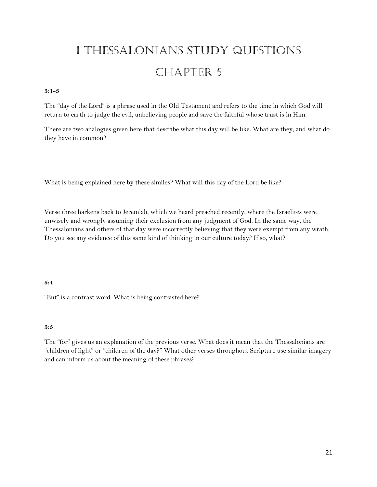# 1 Thessalonians Study Questions CHAPTER 5

#### **5:1-3**

The "day of the Lord" is a phrase used in the Old Testament and refers to the time in which God will return to earth to judge the evil, unbelieving people and save the faithful whose trust is in Him.

There are two analogies given here that describe what this day will be like. What are they, and what do they have in common?

What is being explained here by these similes? What will this day of the Lord be like?

Verse three harkens back to Jeremiah, which we heard preached recently, where the Israelites were unwisely and wrongly assuming their exclusion from any judgment of God. In the same way, the Thessalonians and others of that day were incorrectly believing that they were exempt from any wrath. Do you see any evidence of this same kind of thinking in our culture today? If so, what?

#### **5:4**

"But" is a contrast word. What is being contrasted here?

#### **5:5**

The "for" gives us an explanation of the previous verse. What does it mean that the Thessalonians are "children of light" or "children of the day?" What other verses throughout Scripture use similar imagery and can inform us about the meaning of these phrases?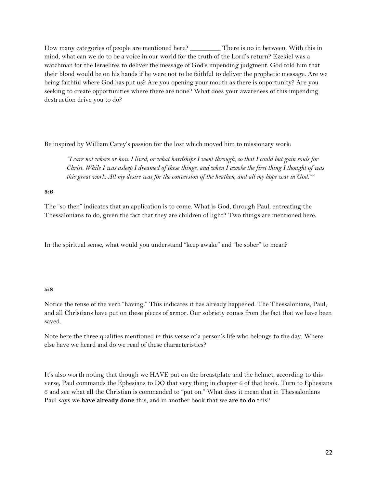How many categories of people are mentioned here? \_\_\_\_\_\_\_\_\_ There is no in between. With this in mind, what can we do to be a voice in our world for the truth of the Lord's return? Ezekiel was a watchman for the Israelites to deliver the message of God's impending judgment. God told him that their blood would be on his hands if he were not to be faithful to deliver the prophetic message. Are we being faithful where God has put us? Are you opening your mouth as there is opportunity? Are you seeking to create opportunities where there are none? What does your awareness of this impending destruction drive you to do?

Be inspired by William Carey's passion for the lost which moved him to missionary work:

*"I care not where or how I lived, or what hardships I went through, so that I could but gain souls for Christ. While I was asleep I dreamed of these things, and when I awoke the first thing I thought of was this great work. All my desire was for the conversion of the heathen, and all my hope was in God."vi*

#### **5:6**

The "so then" indicates that an application is to come. What is God, through Paul, entreating the Thessalonians to do, given the fact that they are children of light? Two things are mentioned here.

In the spiritual sense, what would you understand "keep awake" and "be sober" to mean?

#### **5:8**

Notice the tense of the verb "having." This indicates it has already happened. The Thessalonians, Paul, and all Christians have put on these pieces of armor. Our sobriety comes from the fact that we have been saved.

Note here the three qualities mentioned in this verse of a person's life who belongs to the day. Where else have we heard and do we read of these characteristics?

It's also worth noting that though we HAVE put on the breastplate and the helmet, according to this verse, Paul commands the Ephesians to DO that very thing in chapter 6 of that book. Turn to Ephesians 6 and see what all the Christian is commanded to "put on." What does it mean that in Thessalonians Paul says we **have already done** this, and in another book that we **are to do** this?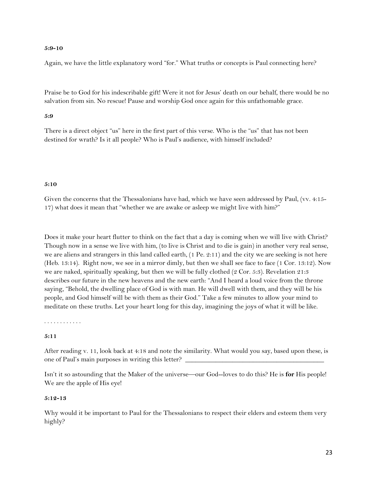#### **5:9-10**

Again, we have the little explanatory word "for." What truths or concepts is Paul connecting here?

Praise be to God for his indescribable gift! Were it not for Jesus' death on our behalf, there would be no salvation from sin. No rescue! Pause and worship God once again for this unfathomable grace.

#### **5:9**

There is a direct object "us" here in the first part of this verse. Who is the "us" that has not been destined for wrath? Is it all people? Who is Paul's audience, with himself included?

#### **5:10**

Given the concerns that the Thessalonians have had, which we have seen addressed by Paul, (vv. 4:15-17) what does it mean that "whether we are awake or asleep we might live with him?"

Does it make your heart flutter to think on the fact that a day is coming when we will live with Christ? Though now in a sense we live with him, (to live is Christ and to die is gain) in another very real sense, we are aliens and strangers in this land called earth, (1 Pe. 2:11) and the city we are seeking is not here (Heb. 13:14). Right now, we see in a mirror dimly, but then we shall see face to face (1 Cor. 13:12). Now we are naked, spiritually speaking, but then we will be fully clothed (2 Cor. 5:3). Revelation 21:3 describes our future in the new heavens and the new earth: "And I heard a loud voice from the throne saying, "Behold, the dwelling place of God is with man. He will dwell with them, and they will be his people, and God himself will be with them as their God." Take a few minutes to allow your mind to meditate on these truths. Let your heart long for this day, imagining the joys of what it will be like.

. . . . . . . . . . . .

#### **5:11**

After reading v. 11, look back at 4:18 and note the similarity. What would you say, based upon these, is one of Paul's main purposes in writing this letter?

Isn't it so astounding that the Maker of the universe—our God--loves to do this? He is **for** His people! We are the apple of His eye!

#### **5:12-13**

Why would it be important to Paul for the Thessalonians to respect their elders and esteem them very highly?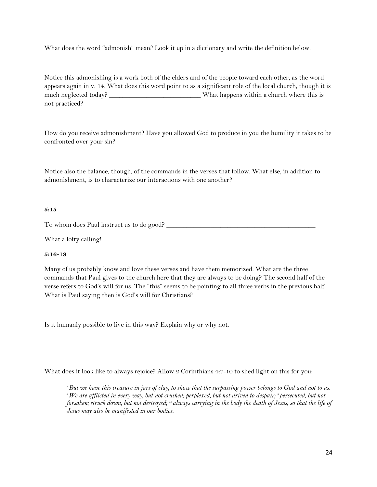What does the word "admonish" mean? Look it up in a dictionary and write the definition below.

Notice this admonishing is a work both of the elders and of the people toward each other, as the word appears again in v. 14. What does this word point to as a significant role of the local church, though it is much neglected today? \_\_\_\_\_\_\_\_\_\_\_\_\_\_\_\_\_\_\_\_\_\_\_\_\_\_\_\_\_\_\_\_\_\_What happens within a church where this is not practiced?

How do you receive admonishment? Have you allowed God to produce in you the humility it takes to be confronted over your sin?

Notice also the balance, though, of the commands in the verses that follow. What else, in addition to admonishment, is to characterize our interactions with one another?

#### **5:15**

To whom does Paul instruct us to do good? \_\_\_\_\_\_\_\_\_\_\_\_\_\_\_\_\_\_\_\_\_\_\_\_\_\_\_\_\_\_\_\_\_\_\_\_\_\_\_\_\_\_\_\_

What a lofty calling!

#### **5:16-18**

Many of us probably know and love these verses and have them memorized. What are the three commands that Paul gives to the church here that they are always to be doing? The second half of the verse refers to God's will for us. The "this" seems to be pointing to all three verbs in the previous half. What is Paul saying then is God's will for Christians?

Is it humanly possible to live in this way? Explain why or why not.

What does it look like to always rejoice? Allow 2 Corinthians 4:7-10 to shed light on this for you:

*<sup>7</sup>But we have this treasure in jars of clay, to show that the surpassing power belongs to God and not to us. <sup>8</sup>We are afflicted in every way, but not crushed; perplexed, but not driven to despair; <sup>9</sup> persecuted, but not forsaken; struck down, but not destroyed; <sup>10</sup> always carrying in the body the death of Jesus, so that the life of Jesus may also be manifested in our bodies.*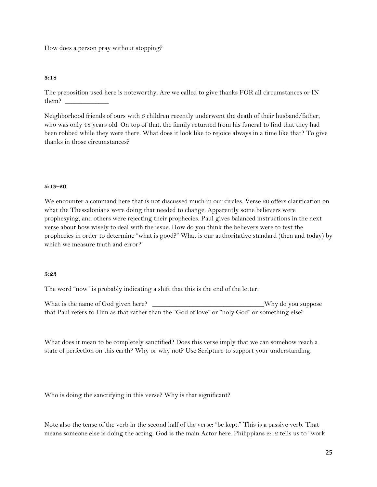How does a person pray without stopping?

#### **5:18**

The preposition used here is noteworthy. Are we called to give thanks FOR all circumstances or IN them?

Neighborhood friends of ours with 6 children recently underwent the death of their husband/father, who was only 48 years old. On top of that, the family returned from his funeral to find that they had been robbed while they were there. What does it look like to rejoice always in a time like that? To give thanks in those circumstances?

#### **5:19-20**

We encounter a command here that is not discussed much in our circles. Verse 20 offers clarification on what the Thessalonians were doing that needed to change. Apparently some believers were prophesying, and others were rejecting their prophecies. Paul gives balanced instructions in the next verse about how wisely to deal with the issue. How do you think the believers were to test the prophecies in order to determine "what is good?" What is our authoritative standard (then and today) by which we measure truth and error?

#### **5:23**

The word "now" is probably indicating a shift that this is the end of the letter.

What is the name of God given here? \_\_\_\_\_\_\_\_\_\_\_\_\_\_\_\_\_\_\_\_\_\_\_\_\_\_\_\_\_\_\_\_\_Why do you suppose that Paul refers to Him as that rather than the "God of love" or "holy God" or something else?

What does it mean to be completely sanctified? Does this verse imply that we can somehow reach a state of perfection on this earth? Why or why not? Use Scripture to support your understanding.

Who is doing the sanctifying in this verse? Why is that significant?

Note also the tense of the verb in the second half of the verse: "be kept." This is a passive verb. That means someone else is doing the acting. God is the main Actor here. Philippians 2:12 tells us to "work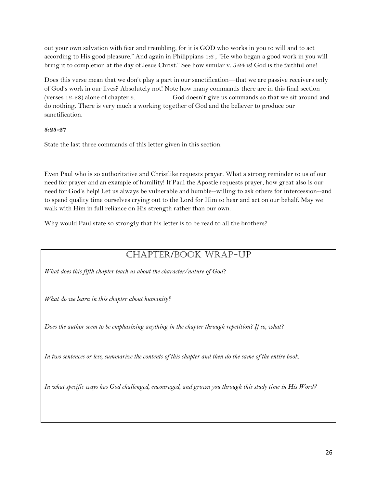out your own salvation with fear and trembling, for it is GOD who works in you to will and to act according to His good pleasure." And again in Philippians 1:6 , "He who began a good work in you will bring it to completion at the day of Jesus Christ." See how similar v. 5:24 is! God is the faithful one!

Does this verse mean that we don't play a part in our sanctification—that we are passive receivers only of God's work in our lives? Absolutely not! Note how many commands there are in this final section (verses 12-28) alone of chapter 5. \_\_\_\_\_\_\_\_\_\_ God doesn't give us commands so that we sit around and do nothing. There is very much a working together of God and the believer to produce our sanctification.

#### **5:25-27**

State the last three commands of this letter given in this section.

Even Paul who is so authoritative and Christlike requests prayer. What a strong reminder to us of our need for prayer and an example of humility! If Paul the Apostle requests prayer, how great also is our need for God's help! Let us always be vulnerable and humble--willing to ask others for intercession--and to spend quality time ourselves crying out to the Lord for Him to hear and act on our behalf. May we walk with Him in full reliance on His strength rather than our own.

Why would Paul state so strongly that his letter is to be read to all the brothers?

### Chapter/Book Wrap-Up

*What does this fifth chapter teach us about the character/nature of God?*

*What do we learn in this chapter about humanity?*

*Does the author seem to be emphasizing anything in the chapter through repetition? If so, what?*

*In two sentences or less, summarize the contents of this chapter and then do the same of the entire book.* 

*In what specific ways has God challenged, encouraged, and grown you through this study time in His Word?*